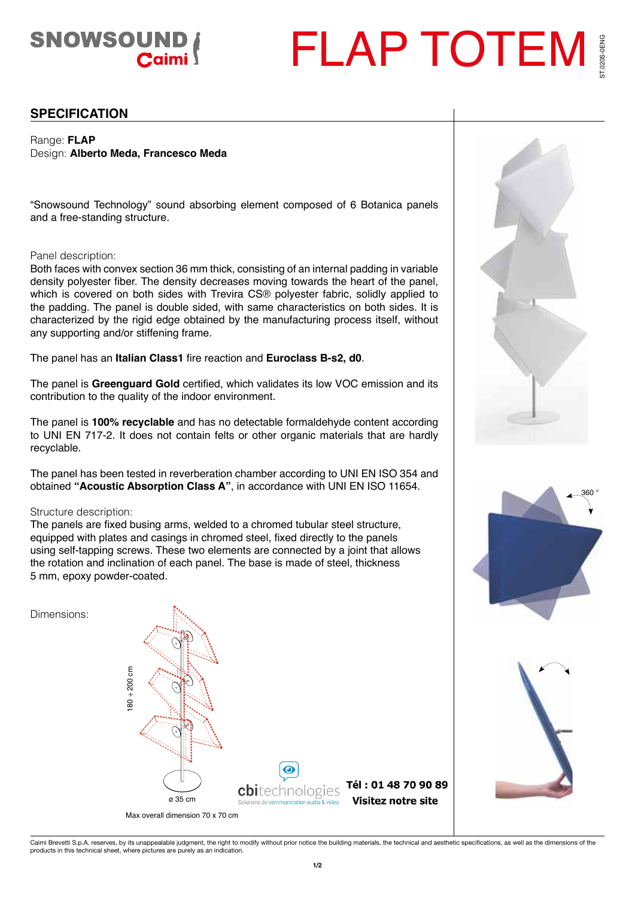# SNOWSOUND

## FLAP TOTEM 020S-0ENG ST.020S-0ENG

**SPECIFICATION**

Range: **FLAP** Design: **Alberto Meda, Francesco Meda**

"Snowsound Technology" sound absorbing element composed of 6 Botanica panels and a free-standing structure.

#### Panel description:

Both faces with convex section 36 mm thick, consisting of an internal padding in variable density polyester fiber. The density decreases moving towards the heart of the panel, which is covered on both sides with Trevira CS® polyester fabric, solidly applied to the padding. The panel is double sided, with same characteristics on both sides. It is characterized by the rigid edge obtained by the manufacturing process itself, without any supporting and/or stiffening frame.

The panel has an **Italian Class1** fire reaction and **Euroclass B-s2, d0**.

The panel is **Greenguard Gold** certified, which validates its low VOC emission and its contribution to the quality of the indoor environment.

The panel is **100% recyclable** and has no detectable formaldehyde content according to UNI EN 717-2. It does not contain felts or other organic materials that are hardly recyclable.

The panel has been tested in reverberation chamber according to UNI EN ISO 354 and obtained **"Acoustic Absorption Class A"**, in accordance with UNI EN ISO 11654.

#### Structure description:

The panels are fixed busing arms, welded to a chromed tubular steel structure, equipped with plates and casings in chromed steel, fixed directly to the panels using self-tapping screws. These two elements are connected by a joint that allows the rotation and inclination of each panel. The base is made of steel, thickness 5 mm, epoxy powder-coated.







360 °

Caimi Brevetti S.p.A. reserves, by its unappealable judgment, the right to modify without prior notice the building materials, the technical and aesthetic specifications, as well as the dimensions of the<br>products in this t